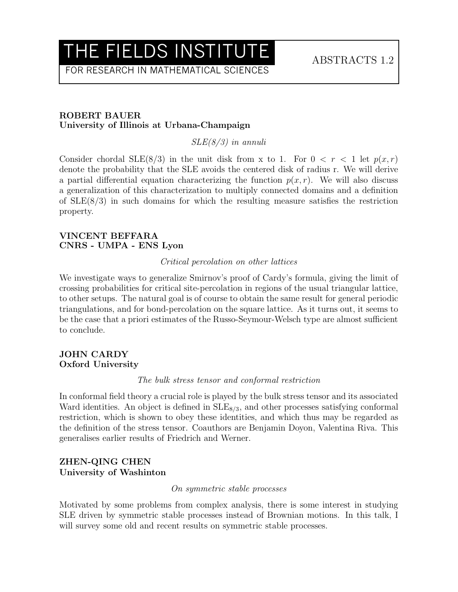## THE FIELDS INSTITUTE ABSTRACTS 1.2

FOR RESEARCH IN MATHEMATICAL SCIENCES

#### ROBERT BAUER University of Illinois at Urbana-Champaign

SLE(8/3) in annuli

Consider chordal SLE(8/3) in the unit disk from x to 1. For  $0 < r < 1$  let  $p(x, r)$ denote the probability that the SLE avoids the centered disk of radius r. We will derive a partial differential equation characterizing the function  $p(x, r)$ . We will also discuss a generalization of this characterization to multiply connected domains and a definition of SLE(8/3) in such domains for which the resulting measure satisfies the restriction property.

#### VINCENT BEFFARA CNRS - UMPA - ENS Lyon

### Critical percolation on other lattices

We investigate ways to generalize Smirnov's proof of Cardy's formula, giving the limit of crossing probabilities for critical site-percolation in regions of the usual triangular lattice, to other setups. The natural goal is of course to obtain the same result for general periodic triangulations, and for bond-percolation on the square lattice. As it turns out, it seems to be the case that a priori estimates of the Russo-Seymour-Welsch type are almost sufficient to conclude.

#### JOHN CARDY Oxford University

#### The bulk stress tensor and conformal restriction

In conformal field theory a crucial role is played by the bulk stress tensor and its associated Ward identities. An object is defined in  $SLE_{8/3}$ , and other processes satisfying conformal restriction, which is shown to obey these identities, and which thus may be regarded as the definition of the stress tensor. Coauthors are Benjamin Doyon, Valentina Riva. This generalises earlier results of Friedrich and Werner.

## ZHEN-QING CHEN University of Washinton

## On symmetric stable processes

Motivated by some problems from complex analysis, there is some interest in studying SLE driven by symmetric stable processes instead of Brownian motions. In this talk, I will survey some old and recent results on symmetric stable processes.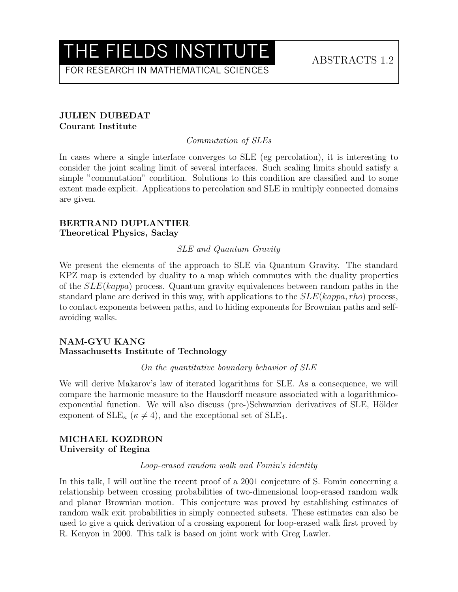## THE FIELDS INSTITUTE ABSTRACTS 1.2

FOR RESEARCH IN MATHEMATICAL SCIENCES

## JULIEN DUBEDAT Courant Institute

## Commutation of SLEs

In cases where a single interface converges to SLE (eg percolation), it is interesting to consider the joint scaling limit of several interfaces. Such scaling limits should satisfy a simple "commutation" condition. Solutions to this condition are classified and to some extent made explicit. Applications to percolation and SLE in multiply connected domains are given.

#### BERTRAND DUPLANTIER Theoretical Physics, Saclay

### SLE and Quantum Gravity

We present the elements of the approach to SLE via Quantum Gravity. The standard KPZ map is extended by duality to a map which commutes with the duality properties of the  $SLE(kappa)$  process. Quantum gravity equivalences between random paths in the standard plane are derived in this way, with applications to the  $SLE(kappa, rho)$  process, to contact exponents between paths, and to hiding exponents for Brownian paths and selfavoiding walks.

### NAM-GYU KANG Massachusetts Institute of Technology

On the quantitative boundary behavior of SLE

We will derive Makarov's law of iterated logarithms for SLE. As a consequence, we will compare the harmonic measure to the Hausdorff measure associated with a logarithmicoexponential function. We will also discuss (pre-)Schwarzian derivatives of SLE, Hölder exponent of  $\text{SLE}_{\kappa}$  ( $\kappa \neq 4$ ), and the exceptional set of SLE<sub>4</sub>.

#### MICHAEL KOZDRON University of Regina

#### Loop-erased random walk and Fomin's identity

In this talk, I will outline the recent proof of a 2001 conjecture of S. Fomin concerning a relationship between crossing probabilities of two-dimensional loop-erased random walk and planar Brownian motion. This conjecture was proved by establishing estimates of random walk exit probabilities in simply connected subsets. These estimates can also be used to give a quick derivation of a crossing exponent for loop-erased walk first proved by R. Kenyon in 2000. This talk is based on joint work with Greg Lawler.